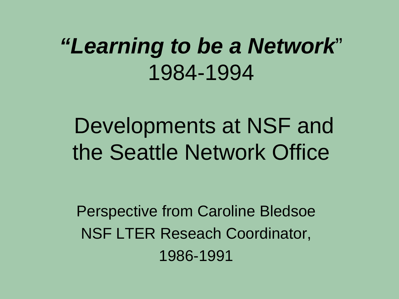# *"Learning to be a Network*" 1984-1994

Developments at NSF and the Seattle Network Office

Perspective from Caroline Bledsoe NSF LTER Reseach Coordinator, 1986-1991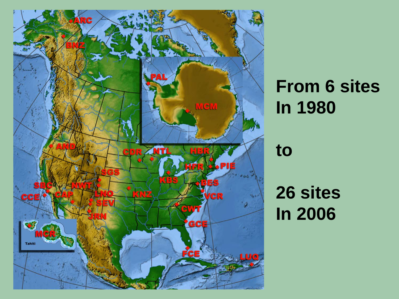

## **From 6 sites In 1980**

**to** 

**26 sites In 2006**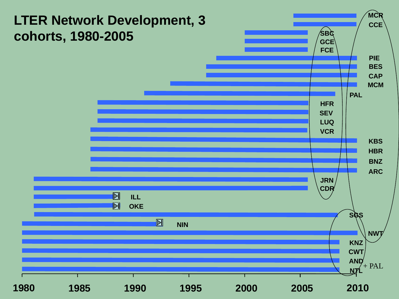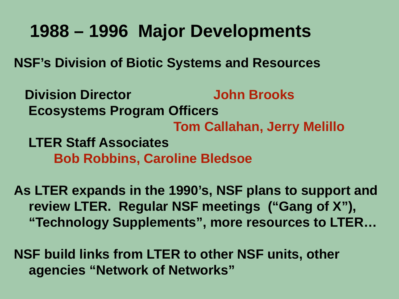## **1988 – 1996 Major Developments**

**NSF's Division of Biotic Systems and Resources** 

 **Division Director John Brooks Ecosystems Program Officers Tom Callahan, Jerry Melillo LTER Staff Associates Bob Robbins, Caroline Bledsoe**

**As LTER expands in the 1990's, NSF plans to support and review LTER. Regular NSF meetings ("Gang of X"), "Technology Supplements", more resources to LTER…**

**NSF build links from LTER to other NSF units, other agencies "Network of Networks"**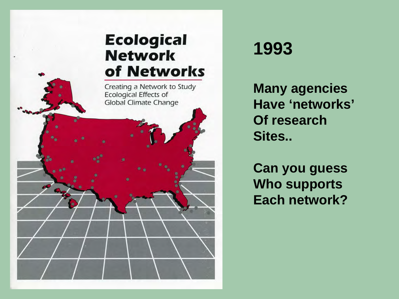#### **Ecological Network** of Networks

Creating a Network to Study Ecological Effects of **Global Climate Change** 

#### **1993**

**Many agencies Have 'networks' Of research Sites..** 

**Can you guess Who supports Each network?**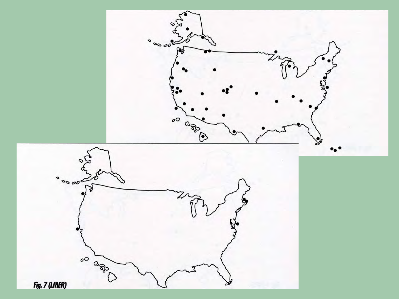![](_page_5_Figure_0.jpeg)

Fig. 7 (LMER)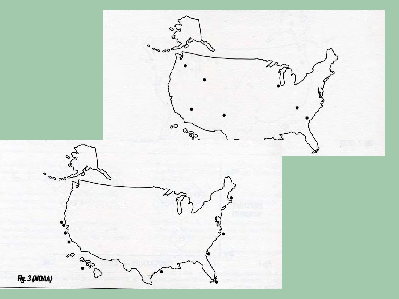![](_page_6_Figure_0.jpeg)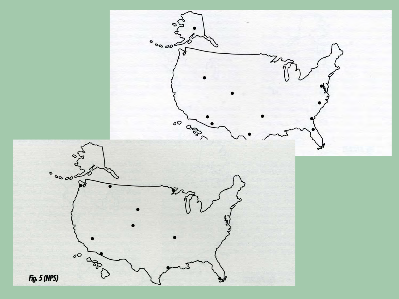![](_page_7_Figure_0.jpeg)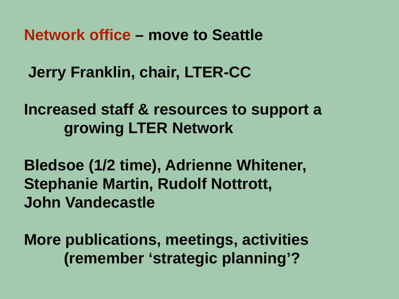**Network office – move to Seattle**

**Jerry Franklin, chair, LTER-CC** 

**Increased staff & resources to support a growing LTER Network**

**Bledsoe (1/2 time), Adrienne Whitener, Stephanie Martin, Rudolf Nottrott, John Vandecastle**

**More publications, meetings, activities (remember 'strategic planning'?**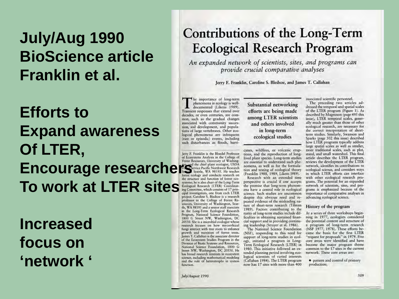## July/Aug 1990 **BioScience article Franklin et al.**

## **Efforts to Expand awareness** Of LTER, **Encourage researchers** Starte, WA 98195. He teaches To work at LTER sites

**Increased** focus on 'network '

#### Contributions of the Long-Term **Ecological Research Program**

An expanded network of scientists, sites, and programs can provide crucial comparative analyses

Jerry F. Franklin, Caroline S. Bledsoe, and James T. Callahan

he importance of long-term phenomena in ecology is welldocumented (Likens 1989). Transient responses that extend over decades, or even centuries, are common, such as the gradual changes associated with community succession, soil development, and populations of large vertebrates. Other ecological phenomena are infrequent (rare or episodic) events, including such disturbances as floods, hurri-

Jerry F. Franklin is the Bloedel Professor of Ecosystems Analysis in the College of Forest Resources, University of Washingforest ecology and conducts research on the structure and function of forest ecosystems; he is also chair of the Long-Term Ecological Research (LTER) Coordinating Committee, which consists of 17 principal investigators, one from each LTER project. Caroline S. Bledsoe is a research professor in the College of Forest Resources, University of Washington, Seattle, WA 98195 and a senior staff associate in the Long-Term Ecological Research Program, National Science Foundation, 1800 G Street NW, Washington, DC 20550. She is a microbial ecologist whose research focuses on how mycorrhizal fungi interact with tree roots to enhance growth and nutrition of forest trees. James T. Callahan is the associate director of the Ecosystem Studies Program in the Division of Biotic Systems and Resources, National Science Foundation, 1800 G Street NW, Washington, DC 20550. He has broad research interests in ecosystem science, including mathematical modeling and the role of heterotrophs in system function.

Substantial networking efforts are being made among LTER scientists and others involved in long-term ecological studies

canes, wildfires, or volcanic eruptions, and the reproduction of longlived plant species. Long-term studies are essential to understand such phenomena, as well as for the formulation and testing of ecological theory (Franklin 1988, 1989, Likens 1989).

Research with an extended time perspective is crucial if one accepts the premise that long-term phenomena have a central role in ecological science. Such studies are uncommon despite this obvious need and repeated evidence of the misleading nature of short-term research (Tilman 1989). Factors contributing to the rarity of long-term studies include difficulties in obtaining sustained financial support and in providing continuing leadership (Strayer et al. 1986).

The National Science Foundation (NSF), responding to this need for support of long-term studies in ecology, initiated a program in Long-Term Ecological Research (LTER) in 1980. This initiative followed an extended planning period involving ecological scientists of varied interests. (Callahan 1984). The LTER program now has 17 sites with more than 400

associated scientific personnel.

The preceding two articles addressed the temporal and spatial scales of the LTER program (Figure 1). As described by Magnuson (page 495 this issue), LTER temporal scales, generally much greater than those of other ecological research, are necessary for the correct interpretation of shortterm studies. Similarly, Swanson and Sparks (page 502 this issue) described how LTER programs typically address large spatial scales as well as smaller, more traditional scales, such as plot, stand, and small watershed. This final article describes the LTER program, reviews the development of the LTER network, identifies its contributions to ecological science, and considers ways in which LTER efforts can interface with other ecological research programs. The potential for an expanded network of scientists, sites, and programs is emphasized because of the importance of comparative analyses in advancing ecological science.

#### History of the program

At a series of three workshops beginning in 1977, ecologists considered the potential content and structure of a program of long-term research (NSF 1977, 1978). These efforts became the basis for the first LTER "request for proposals" in 1979. Five core areas were identified and have become the major program theme common to the 17 sites in the current network. These core areas are:

· pattern and control of primary production;

July/August 1990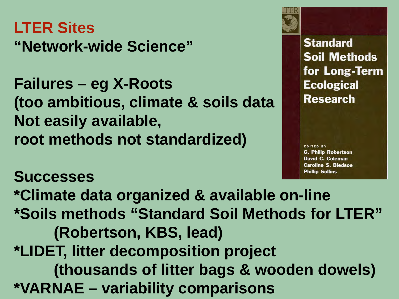## **LTER Sites "Network-wide Science"**

**Failures – eg X-Roots (too ambitious, climate & soils data Not easily available, root methods not standardized)**

**Standard Soil Methods** for Long-Term **Ecological Research** 

**EDITED BY G. Philip Robertson** David C. Coleman **Caroline S. Bledsoe Phillip Sollins** 

**Successes \*Climate data organized & available on-line \*Soils methods "Standard Soil Methods for LTER" (Robertson, KBS, lead) \*LIDET, litter decomposition project (thousands of litter bags & wooden dowels) \*VARNAE – variability comparisons**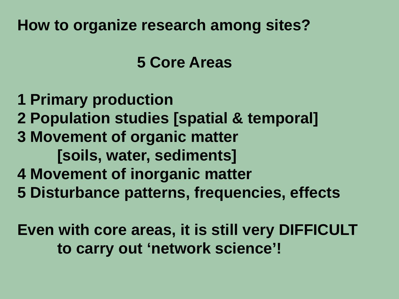#### **How to organize research among sites?**

 **5 Core Areas**

**1 Primary production 2 Population studies [spatial & temporal] 3 Movement of organic matter [soils, water, sediments] 4 Movement of inorganic matter 5 Disturbance patterns, frequencies, effects**

**Even with core areas, it is still very DIFFICULT to carry out 'network science'!**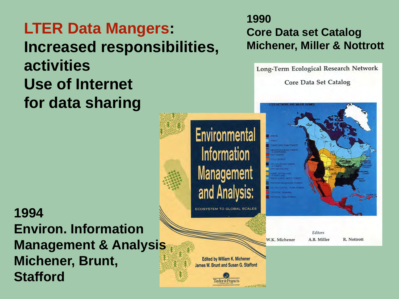## **LTER Data Mangers: Increased responsibilities, activities Use of Internet for data sharing**

**1994 Environ. Information Management & Analysis Michener, Brunt, Stafford**

#### **1990 Core Data set Catalog Michener, Miller & Nottrott**

Long-Term Ecological Research Network

Core Data Set Catalog

## **Environmental** Information **Management** and Analysis:

**ECOSYSTEM TO GLOBAL SCALES** 

W.K. Michener

Editors A.B. Miller

R. Nottrott

**Edited by William K. Michener** James W. Brunt and Susan G. Stafford

> **Taylor & Francis CONTRACTOR**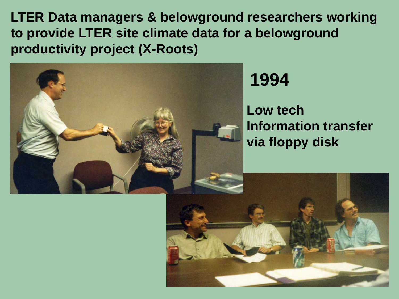**LTER Data managers & belowground researchers working to provide LTER site climate data for a belowground productivity project (X-Roots)**

![](_page_13_Picture_1.jpeg)

**1994**

#### **Low tech Information transfer via floppy disk**

![](_page_13_Picture_4.jpeg)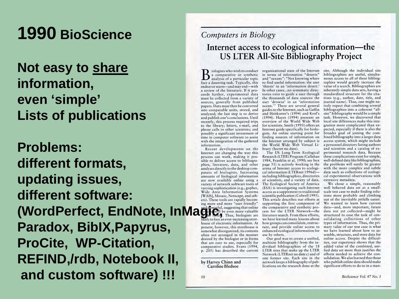## **1990 BioScience**

#### **Not easy to share information, even 'simple' Lists of publications**

**Problems: different formats, updating issues, different software: (WordPerfect, EndNote, InMagicilist** even more valuable cass for the LTER Network-the pro-<br>
Independence on even more valuable cass for the LTER Network-the<br>
Integration face an ever-increasing store-we have learned many **Paradox, BibIX,Papyrus, ProCite, WP-Citation, REFIND,/rdb, Notebook II, and custom software) !!!**

#### Computers in Biology Internet access to ecological information—the **US LTER All-Site Bibliography Project**

a comparative or synthetic analysis of a particular topic face a daunting task. Typically, this endeavor starts-and may end-with a review of the literature. If it proceeds further, experimental data tories exist to guide a user through must be collected from a variety of sources, generally from published papers. Data must then be converted into comparable units, stored, and analyzed; the last step is to derive and publish one's conclusions. Until recently, this process required trips to the library; letters, e-mail, and phone calls to other scientists; and possibly a significant investment of time in computer software to assist with the integration of the gathered information.

Recent developments on the Internet are changing the way this process can work, making it possible to deliver access to bibliographies, literature, data, and other analyses directly to the desktop computers of biologists. Increasing amounts of biological information are now available online using a variety of network software tools of The Ecological Society of America varying sophistication (e.g., gopher, (ESA) is investigating such Internet Wide Area Information Systems access as a supplement to traditional [WAIS], Mosaic, Netscape, and others). These tools are rapidly becoming more and more "user friendly" house of electronic information. At present, however, this storehouse is somewhat disorganized, its contents often not arranged in the manner desired by the biologist or in forms that are easy to use, especially for comparative studies. Evans (1994, p. 205) has described the current

by Harvey Chinn and Caroline Bledsoe

50

iologists who wish to conduct organizational state of the Internet in terms of information "deserts" and "oceans": "Not knowing where to find useful information: the user 'thirsts' in an 'information desert.' In other cases...no systematic directhe thousands of data sources: the user 'drowns' in an 'information ocean.'" There are several general guides to the Internet, such as Gaffin and Heitkotter's (1994) and Krol's (1994). Haves (1994) presents an overview of the World Wide Web for scientists. Smith (1993) offers an Internet guide specifically for biologists. An online starting point for finding sources of information on the Internet arranged by subject is the World Wide Web Virtual Library (Secret no date).

The US Long-Term Ecological Research (LTER) Program (Callahan 1984, Franklin et al. 1990; see box page 51) is actively working in the arena of Internet access to ecological information (LTERnet 1996d)including bibliographies, directories of scientists, and a variety of data. scientific publication (Colwell 1995). This article describes our efforts at supporting the first component of how groups can consolidate, restructure, and provide online access to enhanced ecological information for use by others.

Our goal was to create a unified, multisite bibliography from the individual bibliographies of the 18 LTER sites that make up the LTER Network (LTERnet no date c) and of one former site. Each site in the network keeps a bibliography of publications on the research done at the site. Although the individual site bibliographies are useful, simultaneous access to all of these bibliographies would greatly increase the value of a search. Bibliographies are inherently simple data sets, having a standardized structure for the citations (e.g., author, date, title, and journal name). Thus, one might naively expect that combining several bibliographies into a coherent "allsite" bibliography would be a simple task. However, we discovered that local site differences make this integration more complicated than expected, especially if there is also the broader goal of joining the combined bibliography into a larger data access system, which might include a personnel directory listing authors and scientists and a catalog of experimental research data. Because these complications exist for simple, well-defined data like bibliographies, the problems will surely be greater with the more complex and subtle data such as collections of ecological experimental observations with extensive metadata.

We chose a simple, reasonably well behaved data set as a smallscale test case to make finding solutions more probable and climbing out of the inevitable pitfalls easier. We wanted to learn how current data-and, more important, future data not yet collected-might be structured to ease the task of consolidating collections of other types of information. Thus, the primary value of our test case is what we have learned about how to assemble, structure, and store data for online access. Despite the difficulties, our experience shows that the added value of the combined, unified data set more than justifies the efforts needed to achieve the consolidation. We also learned that those who publish online data should make significant efforts to do so in a man-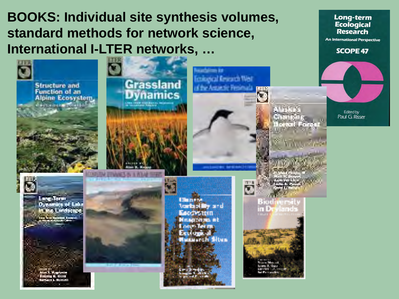#### **BOOKS: Individual site synthesis volumes,** standard methods for network science, International I-LTER networks, ...

**Grassland** 

**Dynamics** 

**Long-term Ecological Research** 

**An International Perspective** 

**SCOPE 47** 

Edited by Paul G. Risser

![](_page_15_Picture_5.jpeg)

![](_page_15_Picture_6.jpeg)

Structure and<br>Function of an

Alpine Ecosystem. **Authorities** Tout Life

![](_page_15_Picture_8.jpeg)

![](_page_15_Picture_9.jpeg)

Umra së **Varia of My and** Беорезинг Minasa an ais in E Louis Term usserch Situs

![](_page_15_Picture_11.jpeg)

ď

Biodiversi

**Emispical Keycards West** 

of the Antoinale Presimal.